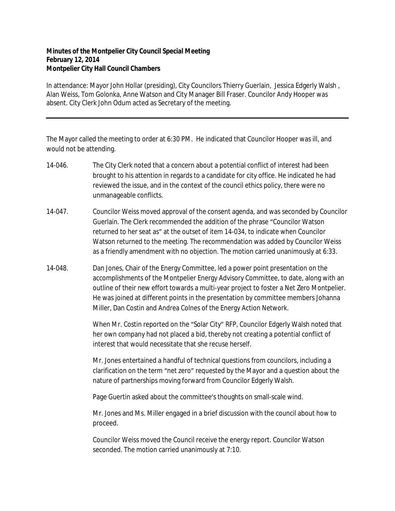## **Minutes of the Montpelier City Council Special Meeting February 12, 2014 Montpelier City Hall Council Chambers**

In attendance: Mayor John Hollar (presiding), City Councilors Thierry Guerlain, Jessica Edgerly Walsh , Alan Weiss, Tom Golonka, Anne Watson and City Manager Bill Fraser. Councilor Andy Hooper was absent. City Clerk John Odum acted as Secretary of the meeting.

The Mayor called the meeting to order at 6:30 PM. He indicated that Councilor Hooper was ill, and would not be attending.

- 14-046. The City Clerk noted that a concern about a potential conflict of interest had been brought to his attention in regards to a candidate for city office. He indicated he had reviewed the issue, and in the context of the council ethics policy, there were no unmanageable conflicts.
- 14-047. Councilor Weiss moved approval of the consent agenda, and was seconded by Councilor Guerlain. The Clerk recommended the addition of the phrase "Councilor Watson returned to her seat as" at the outset of item 14-034, to indicate when Councilor Watson returned to the meeting. The recommendation was added by Councilor Weiss as a friendly amendment with no objection. The motion carried unanimously at 6:33.
- 14-048. Dan Jones, Chair of the Energy Committee, led a power point presentation on the accomplishments of the Montpelier Energy Advisory Committee, to date, along with an outline of their new effort towards a multi-year project to foster a Net Zero Montpelier. He was joined at different points in the presentation by committee members Johanna Miller, Dan Costin and Andrea Colnes of the Energy Action Network.

When Mr. Costin reported on the "Solar City" RFP, Councilor Edgerly Walsh noted that her own company had not placed a bid, thereby not creating a potential conflict of interest that would necessitate that she recuse herself.

Mr. Jones entertained a handful of technical questions from councilors, including a clarification on the term "net zero" requested by the Mayor and a question about the nature of partnerships moving forward from Councilor Edgerly Walsh.

Page Guertin asked about the committee's thoughts on small-scale wind.

Mr. Jones and Ms. Miller engaged in a brief discussion with the council about how to proceed.

Councilor Weiss moved the Council receive the energy report. Councilor Watson seconded. The motion carried unanimously at 7:10.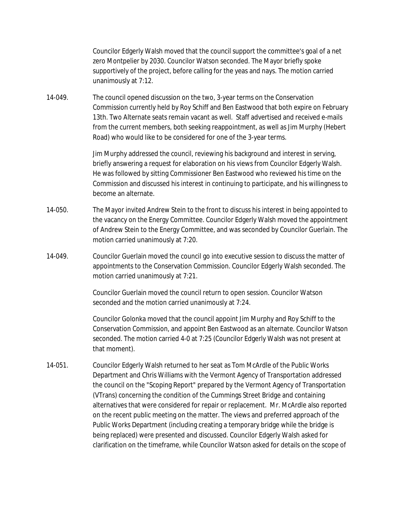Councilor Edgerly Walsh moved that the council support the committee's goal of a net zero Montpelier by 2030. Councilor Watson seconded. The Mayor briefly spoke supportively of the project, before calling for the yeas and nays. The motion carried unanimously at 7:12.

14-049. The council opened discussion on the two, 3-year terms on the Conservation Commission currently held by Roy Schiff and Ben Eastwood that both expire on February 13th. Two Alternate seats remain vacant as well. Staff advertised and received e-mails from the current members, both seeking reappointment, as well as Jim Murphy (Hebert Road) who would like to be considered for one of the 3-year terms.

> Jim Murphy addressed the council, reviewing his background and interest in serving, briefly answering a request for elaboration on his views from Councilor Edgerly Walsh. He was followed by sitting Commissioner Ben Eastwood who reviewed his time on the Commission and discussed his interest in continuing to participate, and his willingness to become an alternate.

- 14-050. The Mayor invited Andrew Stein to the front to discuss his interest in being appointed to the vacancy on the Energy Committee. Councilor Edgerly Walsh moved the appointment of Andrew Stein to the Energy Committee, and was seconded by Councilor Guerlain. The motion carried unanimously at 7:20.
- 14-049. Councilor Guerlain moved the council go into executive session to discuss the matter of appointments to the Conservation Commission. Councilor Edgerly Walsh seconded. The motion carried unanimously at 7:21.

Councilor Guerlain moved the council return to open session. Councilor Watson seconded and the motion carried unanimously at 7:24.

Councilor Golonka moved that the council appoint Jim Murphy and Roy Schiff to the Conservation Commission, and appoint Ben Eastwood as an alternate. Councilor Watson seconded. The motion carried 4-0 at 7:25 (Councilor Edgerly Walsh was not present at that moment).

14-051. Councilor Edgerly Walsh returned to her seat as Tom McArdle of the Public Works Department and Chris Williams with the Vermont Agency of Transportation addressed the council on the "Scoping Report" prepared by the Vermont Agency of Transportation (VTrans) concerning the condition of the Cummings Street Bridge and containing alternatives that were considered for repair or replacement. Mr. McArdle also reported on the recent public meeting on the matter. The views and preferred approach of the Public Works Department (including creating a temporary bridge while the bridge is being replaced) were presented and discussed. Councilor Edgerly Walsh asked for clarification on the timeframe, while Councilor Watson asked for details on the scope of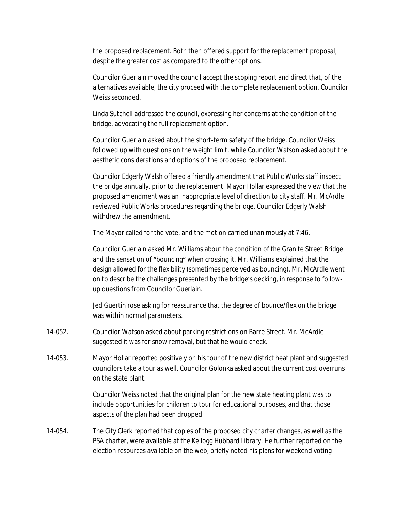the proposed replacement. Both then offered support for the replacement proposal, despite the greater cost as compared to the other options.

Councilor Guerlain moved the council accept the scoping report and direct that, of the alternatives available, the city proceed with the complete replacement option. Councilor Weiss seconded.

Linda Sutchell addressed the council, expressing her concerns at the condition of the bridge, advocating the full replacement option.

Councilor Guerlain asked about the short-term safety of the bridge. Councilor Weiss followed up with questions on the weight limit, while Councilor Watson asked about the aesthetic considerations and options of the proposed replacement.

Councilor Edgerly Walsh offered a friendly amendment that Public Works staff inspect the bridge annually, prior to the replacement. Mayor Hollar expressed the view that the proposed amendment was an inappropriate level of direction to city staff. Mr. McArdle reviewed Public Works procedures regarding the bridge. Councilor Edgerly Walsh withdrew the amendment.

The Mayor called for the vote, and the motion carried unanimously at 7:46.

Councilor Guerlain asked Mr. Williams about the condition of the Granite Street Bridge and the sensation of "bouncing" when crossing it. Mr. Williams explained that the design allowed for the flexibility (sometimes perceived as bouncing). Mr. McArdle went on to describe the challenges presented by the bridge's decking, in response to followup questions from Councilor Guerlain.

Jed Guertin rose asking for reassurance that the degree of bounce/flex on the bridge was within normal parameters.

- 14-052. Councilor Watson asked about parking restrictions on Barre Street. Mr. McArdle suggested it was for snow removal, but that he would check.
- 14-053. Mayor Hollar reported positively on his tour of the new district heat plant and suggested councilors take a tour as well. Councilor Golonka asked about the current cost overruns on the state plant.

Councilor Weiss noted that the original plan for the new state heating plant was to include opportunities for children to tour for educational purposes, and that those aspects of the plan had been dropped.

14-054. The City Clerk reported that copies of the proposed city charter changes, as well as the PSA charter, were available at the Kellogg Hubbard Library. He further reported on the election resources available on the web, briefly noted his plans for weekend voting